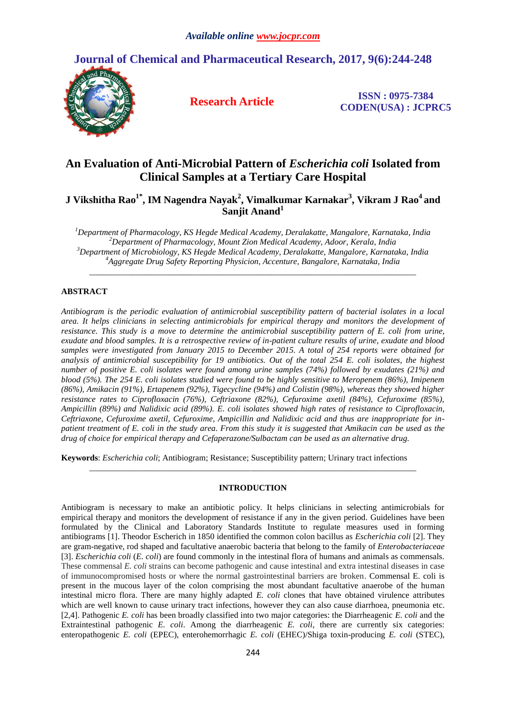

**Journal of Chemical and Pharmaceutical Research, 2017, 9(6):244-248**

**Research Article ISSN : 0975-7384 CODEN(USA) : JCPRC5**

# **An Evaluation of Anti-Microbial Pattern of** *Escherichia coli* **Isolated from Clinical Samples at a Tertiary Care Hospital**

**J Vikshitha Rao1\* , IM Nagendra Nayak<sup>2</sup> , Vimalkumar Karnakar<sup>3</sup> , Vikram J Rao<sup>4</sup> and Sanjit Anand<sup>1</sup>**

*Department of Pharmacology, KS Hegde Medical Academy, Deralakatte, Mangalore, Karnataka, India Department of Pharmacology, Mount Zion Medical Academy, Adoor, Kerala, India Department of Microbiology, KS Hegde Medical Academy, Deralakatte, Mangalore, Karnataka, India Aggregate Drug Safety Reporting Physicion, Accenture, Bangalore, Karnataka, India*

*\_\_\_\_\_\_\_\_\_\_\_\_\_\_\_\_\_\_\_\_\_\_\_\_\_\_\_\_\_\_\_\_\_\_\_\_\_\_\_\_\_\_\_\_\_\_\_\_\_\_\_\_\_\_\_\_\_\_\_\_\_\_\_\_\_\_\_\_\_\_\_\_\_\_\_\_\_*

## **ABSTRACT**

*Antibiogram is the periodic evaluation of antimicrobial susceptibility pattern of bacterial isolates in a local area. It helps clinicians in selecting antimicrobials for empirical therapy and monitors the development of resistance. This study is a move to determine the antimicrobial susceptibility pattern of E. coli from urine, exudate and blood samples. It is a retrospective review of in-patient culture results of urine, exudate and blood samples were investigated from January 2015 to December 2015. A total of 254 reports were obtained for analysis of antimicrobial susceptibility for 19 antibiotics. Out of the total 254 E. coli isolates, the highest number of positive E. coli isolates were found among urine samples (74%) followed by exudates (21%) and blood (5%). The 254 E. coli isolates studied were found to be highly sensitive to Meropenem (86%), Imipenem (86%), Amikacin (91%), Ertapenem (92%), Tigecycline (94%) and Colistin (98%), whereas they showed higher resistance rates to Ciprofloxacin (76%), Ceftriaxone (82%), Cefuroxime axetil (84%), Cefuroxime (85%), Ampicillin (89%) and Nalidixic acid (89%). E. coli isolates showed high rates of resistance to Ciprofloxacin, Ceftriaxone, Cefuroxime axetil, Cefuroxime, Ampicillin and Nalidixic acid and thus are inappropriate for inpatient treatment of E. coli in the study area. From this study it is suggested that Amikacin can be used as the drug of choice for empirical therapy and Cefaperazone/Sulbactam can be used as an alternative drug.*

**Keywords**: *Escherichia coli*; Antibiogram; Resistance; Susceptibility pattern; Urinary tract infections

# **INTRODUCTION**

*\_\_\_\_\_\_\_\_\_\_\_\_\_\_\_\_\_\_\_\_\_\_\_\_\_\_\_\_\_\_\_\_\_\_\_\_\_\_\_\_\_\_\_\_\_\_\_\_\_\_\_\_\_\_\_\_\_\_\_\_\_\_\_\_\_\_\_\_\_\_\_\_\_\_\_\_\_*

Antibiogram is necessary to make an antibiotic policy. It helps clinicians in selecting antimicrobials for empirical therapy and monitors the development of resistance if any in the given period. Guidelines have been formulated by the Clinical and Laboratory Standards Institute to regulate measures used in forming antibiograms [1]. Theodor Escherich in 1850 identified the common colon bacillus as *Escherichia coli* [2]. They are gram-negative, rod shaped and facultative anaerobic bacteria that belong to the family of *Enterobacteriaceae* [3]. *Escherichia coli* (*E. coli*) are found commonly in the intestinal flora of humans and animals as commensals. These commensal *E. coli* strains can become pathogenic and cause intestinal and extra intestinal diseases in case of immunocompromised hosts or where the normal gastrointestinal barriers are broken. Commensal E. coli is present in the mucous layer of the colon comprising the most abundant facultative anaerobe of the human intestinal micro flora. There are many highly adapted *E. coli* clones that have obtained virulence attributes which are well known to cause urinary tract infections, however they can also cause diarrhoea, pneumonia etc. [2,4]. Pathogenic *E. coli* has been broadly classified into two major categories: the Diarrheagenic *E. coli* and the Extraintestinal pathogenic *E. coli*. Among the diarrheagenic *E. coli*, there are currently six categories: enteropathogenic *E. coli* (EPEC), enterohemorrhagic *E. coli* (EHEC)/Shiga toxin-producing *E. coli* (STEC),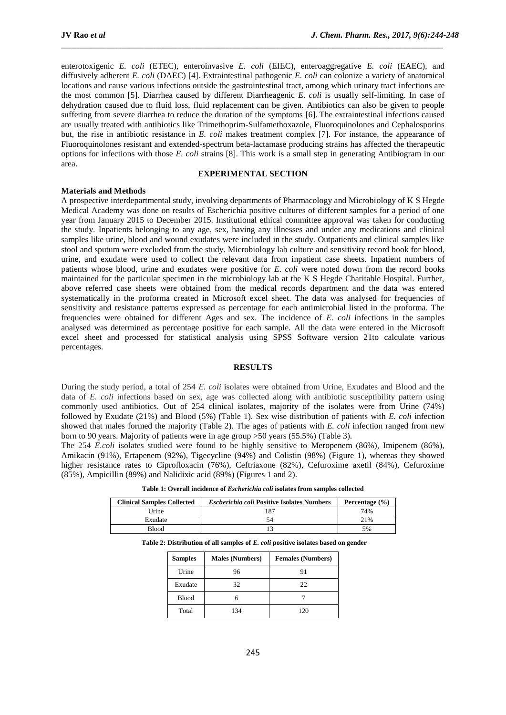enterotoxigenic *E. coli* (ETEC), enteroinvasive *E. coli* (EIEC), enteroaggregative *E. coli* (EAEC), and diffusively adherent *E. coli* (DAEC) [4]. Extraintestinal pathogenic *E. coli* can colonize a variety of anatomical locations and cause various infections outside the gastrointestinal tract, among which urinary tract infections are the most common [5]. Diarrhea caused by different Diarrheagenic *E. coli* is usually self-limiting. In case of dehydration caused due to fluid loss, fluid replacement can be given. Antibiotics can also be given to people suffering from severe diarrhea to reduce the duration of the symptoms [6]. The extraintestinal infections caused are usually treated with antibiotics like Trimethoprim-Sulfamethoxazole, Fluoroquinolones and Cephalosporins but, the rise in antibiotic resistance in *E. coli* makes treatment complex [7]. For instance, the appearance of Fluoroquinolones resistant and extended-spectrum beta-lactamase producing strains has affected the therapeutic options for infections with those *E. coli* strains [8]. This work is a small step in generating Antibiogram in our area.

\_\_\_\_\_\_\_\_\_\_\_\_\_\_\_\_\_\_\_\_\_\_\_\_\_\_\_\_\_\_\_\_\_\_\_\_\_\_\_\_\_\_\_\_\_\_\_\_\_\_\_\_\_\_\_\_\_\_\_\_\_\_\_\_\_\_\_\_\_\_\_\_\_\_\_\_\_\_\_\_\_\_\_\_\_\_\_\_\_\_

#### **EXPERIMENTAL SECTION**

#### **Materials and Methods**

A prospective interdepartmental study, involving departments of Pharmacology and Microbiology of K S Hegde Medical Academy was done on results of Escherichia positive cultures of different samples for a period of one year from January 2015 to December 2015. Institutional ethical committee approval was taken for conducting the study. Inpatients belonging to any age, sex, having any illnesses and under any medications and clinical samples like urine, blood and wound exudates were included in the study. Outpatients and clinical samples like stool and sputum were excluded from the study. Microbiology lab culture and sensitivity record book for blood, urine, and exudate were used to collect the relevant data from inpatient case sheets. Inpatient numbers of patients whose blood, urine and exudates were positive for *E. coli* were noted down from the record books maintained for the particular specimen in the microbiology lab at the K S Hegde Charitable Hospital. Further, above referred case sheets were obtained from the medical records department and the data was entered systematically in the proforma created in Microsoft excel sheet. The data was analysed for frequencies of sensitivity and resistance patterns expressed as percentage for each antimicrobial listed in the proforma. The frequencies were obtained for different Ages and sex. The incidence of *E. coli* infections in the samples analysed was determined as percentage positive for each sample. All the data were entered in the Microsoft excel sheet and processed for statistical analysis using SPSS Software version 21to calculate various percentages.

## **RESULTS**

During the study period, a total of 254 *E. coli* isolates were obtained from Urine, Exudates and Blood and the data of *E. coli* infections based on sex, age was collected along with antibiotic susceptibility pattern using commonly used antibiotics. Out of 254 clinical isolates, majority of the isolates were from Urine (74%) followed by Exudate (21%) and Blood (5%) (Table 1). Sex wise distribution of patients with *E. coli* infection showed that males formed the majority (Table 2). The ages of patients with *E. coli* infection ranged from new born to 90 years. Majority of patients were in age group >50 years (55.5%) (Table 3).

The 254 *E.coli* isolates studied were found to be highly sensitive to Meropenem (86%), Imipenem (86%), Amikacin (91%), Ertapenem (92%), Tigecycline (94%) and Colistin (98%) (Figure 1), whereas they showed higher resistance rates to Ciprofloxacin (76%), Ceftriaxone (82%), Cefuroxime axetil (84%), Cefuroxime (85%), Ampicillin (89%) and Nalidixic acid (89%) (Figures 1 and 2).

| <b>Clinical Samples Collected</b> | <b>Escherichia coli Positive Isolates Numbers</b><br>Percentage $(\% )$ |     |
|-----------------------------------|-------------------------------------------------------------------------|-----|
| Urine                             |                                                                         | 74% |
| Exudate                           |                                                                         | 21% |
| <b>Blood</b>                      |                                                                         | 5%  |

**Table 1: Overall incidence of** *Escherichia coli* **isolates from samples collected**

|  |  |  |  |  | Table 2: Distribution of all samples of E. coli positive isolates based on gender |  |  |
|--|--|--|--|--|-----------------------------------------------------------------------------------|--|--|
|  |  |  |  |  |                                                                                   |  |  |

| <b>Samples</b> | <b>Males (Numbers)</b> | <b>Females (Numbers)</b> |
|----------------|------------------------|--------------------------|
| Urine          | 96                     | 91                       |
| Exudate        | 32                     | 22                       |
| <b>Blood</b>   |                        |                          |
| Total          | 134                    | 120                      |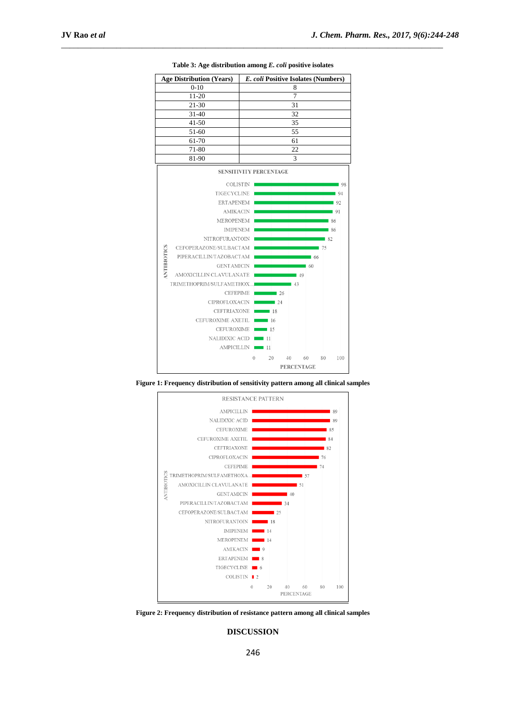|             | <b>Age Distribution (Years)</b> |   |          |                 |    |                   |                   |                   | E. coli Positive Isolates (Numbers) |  |
|-------------|---------------------------------|---|----------|-----------------|----|-------------------|-------------------|-------------------|-------------------------------------|--|
|             | $0 - 10$                        |   |          |                 |    | 8                 |                   |                   |                                     |  |
|             | 11-20                           | 7 |          |                 |    |                   |                   |                   |                                     |  |
|             | $21 - 30$                       |   |          |                 |    | 31                |                   |                   |                                     |  |
|             | $31 - 40$                       |   |          |                 |    | 32                |                   |                   |                                     |  |
|             | $41 - 50$                       |   |          |                 |    | 35                |                   |                   |                                     |  |
|             | 51-60                           |   |          |                 |    | 55                |                   |                   |                                     |  |
|             | 61-70                           |   |          |                 |    | 61                |                   |                   |                                     |  |
|             | 71-80                           |   |          |                 |    | 22                |                   |                   |                                     |  |
|             | 81-90                           |   |          |                 |    | 3                 |                   |                   |                                     |  |
|             | <b>SENSITIVITY PERCENTAGE</b>   |   |          |                 |    |                   |                   |                   |                                     |  |
|             |                                 |   |          |                 |    |                   |                   |                   |                                     |  |
|             | <b>COLISTIN</b>                 |   |          |                 |    |                   |                   |                   | 08                                  |  |
|             | TIGECYCLINE                     |   |          |                 |    |                   |                   |                   | 94                                  |  |
|             | <b>ERTAPENEM</b>                |   |          |                 |    |                   |                   |                   | 192                                 |  |
|             | <b>AMIKACIN</b>                 |   |          |                 |    |                   |                   |                   | 91                                  |  |
|             | <b>MEROPENEM</b>                |   |          |                 |    |                   |                   |                   | 86                                  |  |
|             | <b>IMIPENEM</b>                 |   |          |                 |    |                   |                   |                   | 86                                  |  |
|             | <b>NITROFURANTOIN</b>           |   |          |                 |    |                   |                   | $\blacksquare$ 82 |                                     |  |
|             | CEFOPERAZONE/SULBACTAM          |   |          |                 |    |                   |                   | <b>175</b>        |                                     |  |
| ANTIBIOTICS | PIPERACILLIN/TAZOBACTAM         |   |          |                 |    |                   | $\blacksquare$ 66 |                   |                                     |  |
|             | <b>GENTAMICIN</b>               |   |          |                 |    |                   | $\blacksquare$ 60 |                   |                                     |  |
|             | AMOXICILLIN CLAVULANATE         |   |          |                 |    | $\blacksquare$ 49 |                   |                   |                                     |  |
|             | TRIMETHOPRIM/SULFAMETHOX        |   |          |                 |    | $\blacksquare$ 43 |                   |                   |                                     |  |
|             | <b>CEFEPIME</b>                 |   |          | $\sim$ 26       |    |                   |                   |                   |                                     |  |
|             | CIPROFLOXACIN 24                |   |          |                 |    |                   |                   |                   |                                     |  |
|             | CEFTRIAXONE 18                  |   |          |                 |    |                   |                   |                   |                                     |  |
|             | CEFUROXIME AXETIL               |   |          | $\overline{16}$ |    |                   |                   |                   |                                     |  |
|             | CEFUROXIME <b>15</b>            |   |          |                 |    |                   |                   |                   |                                     |  |
|             | NALIDIXIC ACID                  |   |          |                 |    |                   |                   |                   |                                     |  |
|             | AMPICILLIN <sub>11</sub>        |   |          |                 |    |                   |                   |                   |                                     |  |
|             |                                 |   | $\theta$ | 20              | 40 |                   | 60                | 80                | 100                                 |  |
|             |                                 |   |          |                 |    |                   |                   |                   |                                     |  |

**Table 3: Age distribution among** *E. coli* **positive isolates**

\_\_\_\_\_\_\_\_\_\_\_\_\_\_\_\_\_\_\_\_\_\_\_\_\_\_\_\_\_\_\_\_\_\_\_\_\_\_\_\_\_\_\_\_\_\_\_\_\_\_\_\_\_\_\_\_\_\_\_\_\_\_\_\_\_\_\_\_\_\_\_\_\_\_\_\_\_\_\_\_\_\_\_\_\_\_\_\_\_\_

**Figure 1: Frequency distribution of sensitivity pattern among all clinical samples**



**Figure 2: Frequency distribution of resistance pattern among all clinical samples**

**DISCUSSION**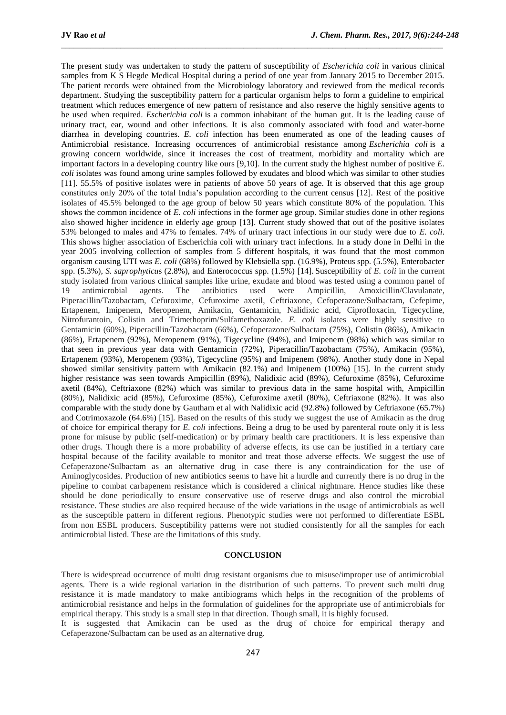The present study was undertaken to study the pattern of susceptibility of *Escherichia coli* in various clinical samples from K S Hegde Medical Hospital during a period of one year from January 2015 to December 2015. The patient records were obtained from the Microbiology laboratory and reviewed from the medical records department. Studying the susceptibility pattern for a particular organism helps to form a guideline to empirical treatment which reduces emergence of new pattern of resistance and also reserve the highly sensitive agents to be used when required. *Escherichia coli* is a common inhabitant of the human gut. It is the leading cause of urinary tract, ear, wound and other infections. It is also commonly associated with food and water-borne diarrhea in developing countries. *E. coli* infection has been enumerated as one of the leading causes of Antimicrobial resistance. Increasing occurrences of antimicrobial resistance among *Escherichia coli* is a growing concern worldwide, since it increases the cost of treatment, morbidity and mortality which are important factors in a developing country like ours [9,10]. In the current study the highest number of positive *E. coli* isolates was found among urine samples followed by exudates and blood which was similar to other studies [11]. 55.5% of positive isolates were in patients of above 50 years of age. It is observed that this age group constitutes only 20% of the total India's population according to the current census [12]. Rest of the positive isolates of 45.5% belonged to the age group of below 50 years which constitute 80% of the population. This shows the common incidence of *E. coli* infections in the former age group. Similar studies done in other regions also showed higher incidence in elderly age group [13]. Current study showed that out of the positive isolates 53% belonged to males and 47% to females. 74% of urinary tract infections in our study were due to *E. coli*. This shows higher association of Escherichia coli with urinary tract infections. In a study done in Delhi in the year 2005 involving collection of samples from 5 different hospitals, it was found that the most common organism causing UTI was *E. coli* (68%) followed by Klebsiella spp. (16.9%), Proteus spp. (5.5%), Enterobacter spp. (5.3%), *S. saprophyticu*s (2.8%), and Enterococcus spp. (1.5%) [14]. Susceptibility of *E. coli* in the current study isolated from various clinical samples like urine, exudate and blood was tested using a common panel of 19 antimicrobial agents. The antibiotics used were Ampicillin, Amoxicillin/Clavulanate, Piperacillin/Tazobactam, Cefuroxime, Cefuroxime axetil, Ceftriaxone, Cefoperazone/Sulbactam, Cefepime, Ertapenem, Imipenem, Meropenem, Amikacin, Gentamicin, Nalidixic acid, Ciprofloxacin, Tigecycline, Nitrofurantoin, Colistin and Trimethoprim/Sulfamethoxazole. *E. coli* isolates were highly sensitive to Gentamicin (60%), Piperacillin/Tazobactam (66%), Cefoperazone/Sulbactam (75%), Colistin (86%), Amikacin (86%), Ertapenem (92%), Meropenem (91%), Tigecycline (94%), and Imipenem (98%) which was similar to that seen in previous year data with Gentamicin (72%), Piperacillin/Tazobactam (75%), Amikacin (95%), Ertapenem (93%), Meropenem (93%), Tigecycline (95%) and Imipenem (98%). Another study done in Nepal showed similar sensitivity pattern with Amikacin (82.1%) and Imipenem (100%) [15]. In the current study higher resistance was seen towards Ampicillin (89%), Nalidixic acid (89%), Cefuroxime (85%), Cefuroxime axetil (84%), Ceftriaxone (82%) which was similar to previous data in the same hospital with, Ampicillin (80%), Nalidixic acid (85%), Cefuroxime (85%), Cefuroxime axetil (80%), Ceftriaxone (82%). It was also comparable with the study done by Gautham et al with Nalidixic acid (92.8%) followed by Ceftriaxone (65.7%) and Cotrimoxazole (64.6%) [15]. Based on the results of this study we suggest the use of Amikacin as the drug of choice for empirical therapy for *E. coli* infections. Being a drug to be used by parenteral route only it is less prone for misuse by public (self-medication) or by primary health care practitioners. It is less expensive than other drugs. Though there is a more probability of adverse effects, its use can be justified in a tertiary care hospital because of the facility available to monitor and treat those adverse effects. We suggest the use of Cefaperazone/Sulbactam as an alternative drug in case there is any contraindication for the use of Aminoglycosides. Production of new antibiotics seems to have hit a hurdle and currently there is no drug in the pipeline to combat carbapenem resistance which is considered a clinical nightmare. Hence studies like these should be done periodically to ensure conservative use of reserve drugs and also control the microbial resistance. These studies are also required because of the wide variations in the usage of antimicrobials as well as the susceptible pattern in different regions. Phenotypic studies were not performed to differentiate ESBL from non ESBL producers. Susceptibility patterns were not studied consistently for all the samples for each antimicrobial listed. These are the limitations of this study.

\_\_\_\_\_\_\_\_\_\_\_\_\_\_\_\_\_\_\_\_\_\_\_\_\_\_\_\_\_\_\_\_\_\_\_\_\_\_\_\_\_\_\_\_\_\_\_\_\_\_\_\_\_\_\_\_\_\_\_\_\_\_\_\_\_\_\_\_\_\_\_\_\_\_\_\_\_\_\_\_\_\_\_\_\_\_\_\_\_\_

#### **CONCLUSION**

There is widespread occurrence of multi drug resistant organisms due to misuse/improper use of antimicrobial agents. There is a wide regional variation in the distribution of such patterns. To prevent such multi drug resistance it is made mandatory to make antibiograms which helps in the recognition of the problems of antimicrobial resistance and helps in the formulation of guidelines for the appropriate use of antimicrobials for empirical therapy. This study is a small step in that direction. Though small, it is highly focused.

It is suggested that Amikacin can be used as the drug of choice for empirical therapy and Cefaperazone/Sulbactam can be used as an alternative drug.